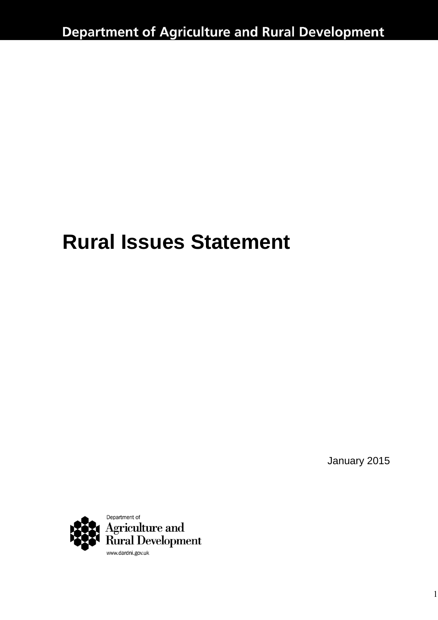# **Rural Issues Statement**

January 2015

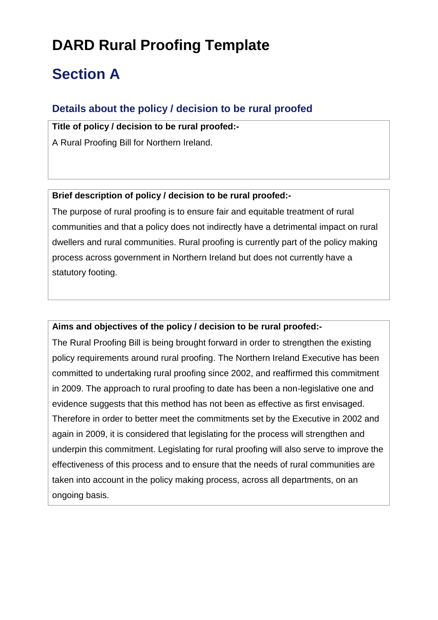# **DARD Rural Proofing Template**

# **Section A**

### **Details about the policy / decision to be rural proofed**

**Title of policy / decision to be rural proofed:-** A Rural Proofing Bill for Northern Ireland.

**Brief description of policy / decision to be rural proofed:-**

The purpose of rural proofing is to ensure fair and equitable treatment of rural communities and that a policy does not indirectly have a detrimental impact on rural dwellers and rural communities. Rural proofing is currently part of the policy making process across government in Northern Ireland but does not currently have a statutory footing.

#### **Aims and objectives of the policy / decision to be rural proofed:-**

The Rural Proofing Bill is being brought forward in order to strengthen the existing policy requirements around rural proofing. The Northern Ireland Executive has been committed to undertaking rural proofing since 2002, and reaffirmed this commitment in 2009. The approach to rural proofing to date has been a non-legislative one and evidence suggests that this method has not been as effective as first envisaged. Therefore in order to better meet the commitments set by the Executive in 2002 and again in 2009, it is considered that legislating for the process will strengthen and underpin this commitment. Legislating for rural proofing will also serve to improve the effectiveness of this process and to ensure that the needs of rural communities are taken into account in the policy making process, across all departments, on an ongoing basis.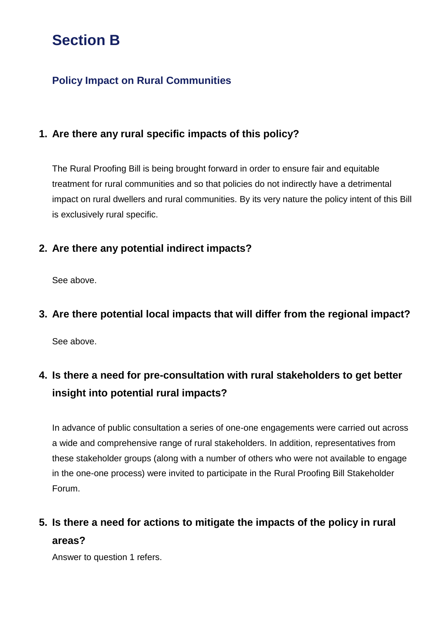# **Section B**

### **Policy Impact on Rural Communities**

### **1. Are there any rural specific impacts of this policy?**

The Rural Proofing Bill is being brought forward in order to ensure fair and equitable treatment for rural communities and so that policies do not indirectly have a detrimental impact on rural dwellers and rural communities. By its very nature the policy intent of this Bill is exclusively rural specific.

### **2. Are there any potential indirect impacts?**

See above.

#### **3. Are there potential local impacts that will differ from the regional impact?**

See above.

### **4. Is there a need for pre-consultation with rural stakeholders to get better insight into potential rural impacts?**

In advance of public consultation a series of one-one engagements were carried out across a wide and comprehensive range of rural stakeholders. In addition, representatives from these stakeholder groups (along with a number of others who were not available to engage in the one-one process) were invited to participate in the Rural Proofing Bill Stakeholder Forum.

### **5. Is there a need for actions to mitigate the impacts of the policy in rural areas?**

Answer to question 1 refers.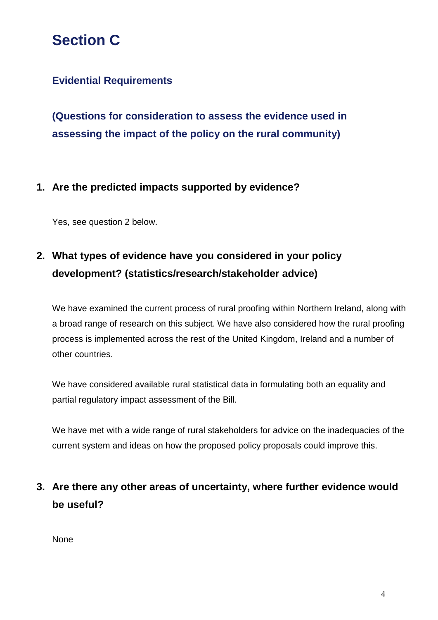## **Section C**

### **Evidential Requirements**

**(Questions for consideration to assess the evidence used in assessing the impact of the policy on the rural community)**

#### **1. Are the predicted impacts supported by evidence?**

Yes, see question 2 below.

### **2. What types of evidence have you considered in your policy development? (statistics/research/stakeholder advice)**

We have examined the current process of rural proofing within Northern Ireland, along with a broad range of research on this subject. We have also considered how the rural proofing process is implemented across the rest of the United Kingdom, Ireland and a number of other countries.

We have considered available rural statistical data in formulating both an equality and partial regulatory impact assessment of the Bill.

We have met with a wide range of rural stakeholders for advice on the inadequacies of the current system and ideas on how the proposed policy proposals could improve this.

### **3. Are there any other areas of uncertainty, where further evidence would be useful?**

None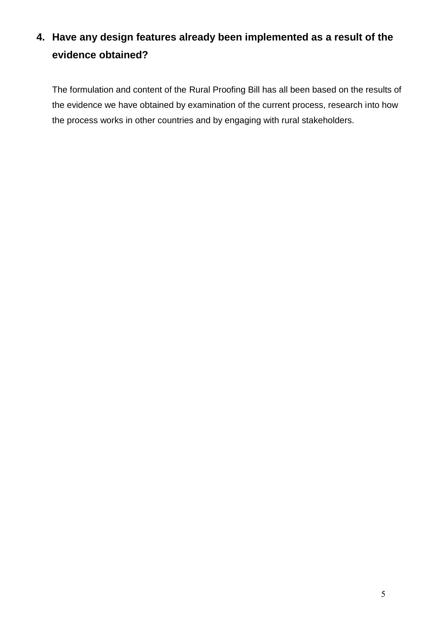### **4. Have any design features already been implemented as a result of the evidence obtained?**

The formulation and content of the Rural Proofing Bill has all been based on the results of the evidence we have obtained by examination of the current process, research into how the process works in other countries and by engaging with rural stakeholders.